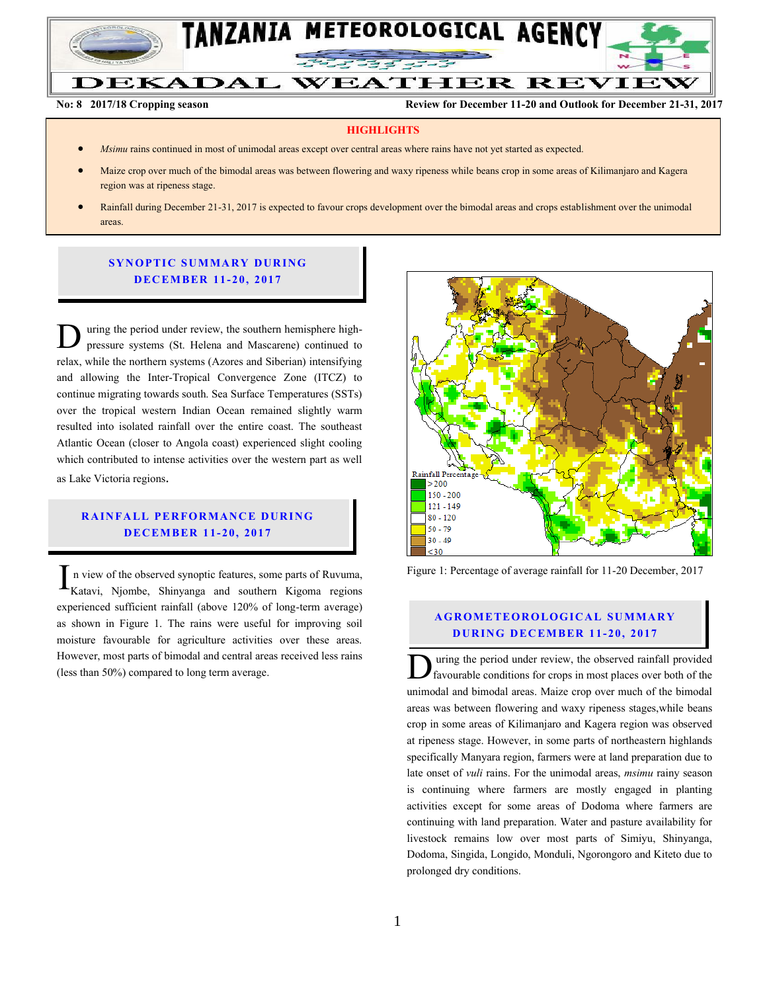

**No: 8 2017/18 Cropping season Review for December 11-20 and Outlook for December 21-31, 2017**

#### **HIGHLIGHTS**

- *Msimu* rains continued in most of unimodal areas except over central areas where rains have not yet started as expected.
- Maize crop over much of the bimodal areas was between flowering and waxy ripeness while beans crop in some areas of Kilimanjaro and Kagera region was at ripeness stage.
- Rainfall during December 21-31, 2017 is expected to favour crops development over the bimodal areas and crops establishment over the unimodal areas.

## **SYNOPTIC SUMMARY DURING D EC EMBER 11- 20, 2017**

uring the period under review, the southern hemisphere highpressure systems (St. Helena and Mascarene) continued to relax, while the northern systems (Azores and Siberian) intensifying and allowing the Inter-Tropical Convergence Zone (ITCZ) to continue migrating towards south. Sea Surface Temperatures (SSTs) over the tropical western Indian Ocean remained slightly warm resulted into isolated rainfall over the entire coast. The southeast Atlantic Ocean (closer to Angola coast) experienced slight cooling which contributed to intense activities over the western part as well as Lake Victoria regions. D

# **RAINFALL PERFORMANCE DURING D EC EMBER 1 1- 20, 2017**

n view of the observed synoptic features, some parts of Ruvuma, Katavi, Njombe, Shinyanga and southern Kigoma regions experienced sufficient rainfall (above 120% of long-term average) as shown in Figure 1. The rains were useful for improving soil moisture favourable for agriculture activities over these areas. However, most parts of bimodal and central areas received less rains (less than 50%) compared to long term average. I



Figure 1: Percentage of average rainfall for 11-20 December, 2017

#### **A G RO METEO R O LOG ICA L SU MMA RY D UR ING D EC EMBER 1 1- 20, 2017**

uring the period under review, the observed rainfall provided favourable conditions for crops in most places over both of the unimodal and bimodal areas. Maize crop over much of the bimodal areas was between flowering and waxy ripeness stages,while beans crop in some areas of Kilimanjaro and Kagera region was observed at ripeness stage. However, in some parts of northeastern highlands specifically Manyara region, farmers were at land preparation due to late onset of *vuli* rains. For the unimodal areas, *msimu* rainy season is continuing where farmers are mostly engaged in planting activities except for some areas of Dodoma where farmers are continuing with land preparation. Water and pasture availability for livestock remains low over most parts of Simiyu, Shinyanga, Dodoma, Singida, Longido, Monduli, Ngorongoro and Kiteto due to prolonged dry conditions.  $\overline{\overline{D}}$